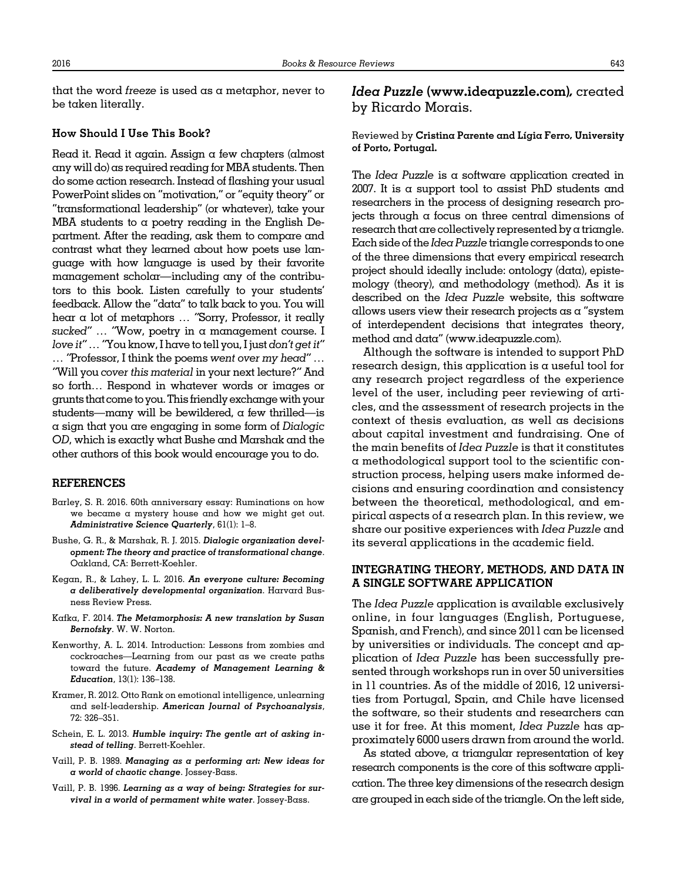that the word freeze is used as a metaphor, never to be taken literally.

### How Should I Use This Book?

Read it. Read it again. Assign a few chapters (almost any will do) as required reading for MBA students. Then do some action research. Instead of flashing your usual PowerPoint slides on "motivation," or "equity theory" or "transformational leadership" (or whatever), take your MBA students to  $\alpha$  poetry reading in the English Department. After the reading, ask them to compare and contrast what they learned about how poets use language with how language is used by their favorite management scholar—including any of the contributors to this book. Listen carefully to your students' feedback. Allow the "data" to talk back to you. You will hear a lot of metaphors … "Sorry, Professor, it really sucked" ... "Wow, poetry in a management course. I love it"…"You know, I have to tell you, I just don't get it" … "Professor, I think the poems went over my head" … "Will you cover this material in your next lecture?" And so forth… Respond in whatever words or images or grunts that come to you.This friendly exchangewith your students—many will be bewildered,  $\alpha$  few thrilled—is a sign that you are engaging in some form of Dialogic OD, which is exactly what Bushe and Marshak and the other authors of this book would encourage you to do.

#### REFERENCES

- Barley, S. R. 2016. 60th anniversary essay: Ruminations on how we became a mystery house and how we might get out. Administrative Science Quarterly, 61(1): 1–8.
- Bushe, G. R., & Marshak, R. J. 2015. Dialogic organization development: The theory and practice of transformational change. Oakland, CA: Berrett-Koehler.
- Kegan, R., & Lahey, L. L. 2016. An everyone culture: Becoming a deliberatively developmental organization. Harvard Busness Review Press.
- Kafka, F. 2014. The Metamorphosis: A new translation by Susan Bernofsky. W. W. Norton.
- Kenworthy, A. L. 2014. Introduction: Lessons from zombies and cockroaches—Learning from our past as we create paths toward the future. Academy of Management Learning & Education, 13(1): 136–138.
- Kramer, R. 2012. Otto Rank on emotional intelligence, unlearning and self-leadership. American Journal of Psychoanalysis, 72: 326–351.
- Schein, E. L. 2013. Humble inquiry: The gentle art of asking instead of telling. Berrett-Koehler.
- Vaill, P. B. 1989. Managing as a performing art: New ideas for a world of chaotic change. Jossey-Bass.
- Vaill, P. B. 1996. Learning as a way of being: Strategies for survival in a world of permament white water. Jossey-Bass.

# Idea Puzzle ([www.ideapuzzle.com\)](http://www.ideapuzzle.com), created by Ricardo Morais.

### Reviewed by Cristina Parente and Lígia Ferro, University of Porto, Portugal.

The Idea Puzzle is a software application created in 2007. It is a support tool to assist PhD students and researchers in the process of designing research projects through a focus on three central dimensions of research that are collectively represented by a triangle. Each side of the Idea Puzzle triangle corresponds to one of the three dimensions that every empirical research project should ideally include: ontology (data), epistemology (theory), and methodology (method). As it is described on the Idea Puzzle website, this software allows users view their research projects as  $\alpha$  "system of interdependent decisions that integrates theory, method and data" [\(www.ideapuzzle.com](http://www.ideapuzzle.com)).

Although the software is intended to support PhD  $r$ esearch design, this application is a useful tool for any research project regardless of the experience level of the user, including peer reviewing of articles, and the assessment of research projects in the context of thesis evaluation, as well as decisions about capital investment and fundraising. One of the main benefits of Idea Puzzle is that it constitutes a methodological support tool to the scientific construction process, helping users make informed decisions and ensuring coordination and consistency between the theoretical, methodological, and empirical aspects of a research plan. In this review, we share our positive experiences with Idea Puzzle and its several applications in the academic field.

### INTEGRATING THEORY, METHODS, AND DATA IN A SINGLE SOFTWARE APPLICATION

The Idea Puzzle application is available exclusively online, in four languages (English, Portuguese, Spanish, and French), and since 2011 can be licensed by universities or individuals. The concept and application of Idea Puzzle has been successfully presented through workshops run in over 50 universities in 11 countries. As of the middle of 2016, 12 universities from Portugal, Spain, and Chile have licensed the software, so their students and researchers can use it for free. At this moment, Idea Puzzle has approximately 6000 users drawn from around the world.

As stated above, a triangular representation of key research components is the core of this software application. The three key dimensions of the research design are grouped in each side of the triangle. On the left side,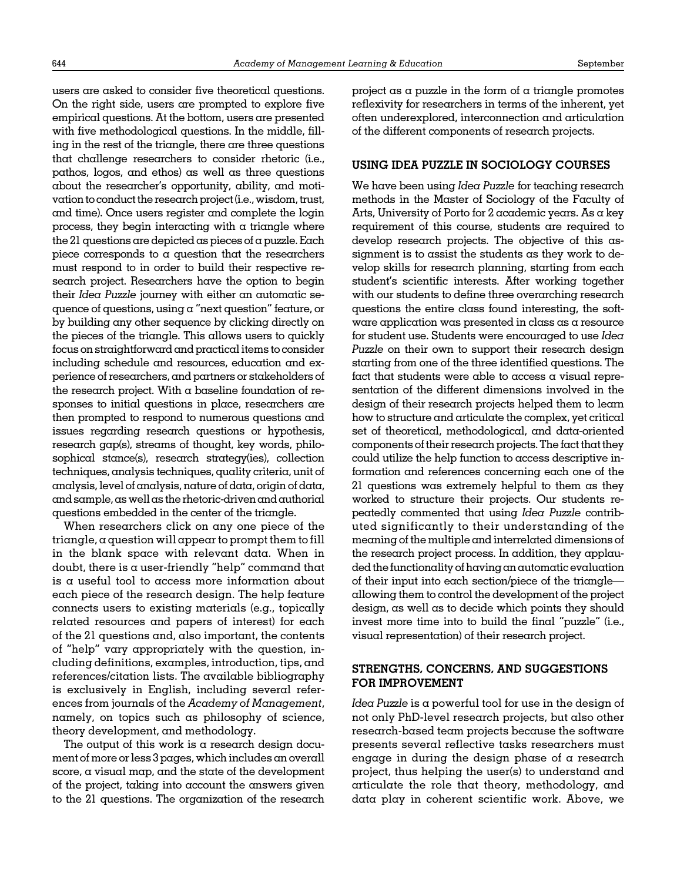users are asked to consider five theoretical questions. On the right side, users are prompted to explore five empirical questions. At the bottom, users are presented with five methodological questions. In the middle, filling in the rest of the triangle, there are three questions that challenge researchers to consider rhetoric (i.e., pathos, logos, and ethos) as well as three questions about the researcher's opportunity, ability, and motivation to conduct the research project (i.e., wisdom, trust, and time). Once users register and complete the login process, they begin interacting with  $\alpha$  triangle where the 21 questions are depicted as pieces of a puzzle. Each piece corresponds to a question that the researchers must respond to in order to build their respective research project. Researchers have the option to begin their Idea Puzzle journey with either an automatic sequence of questions, using a "next question" feature, or by building any other sequence by clicking directly on the pieces of the triangle. This allows users to quickly focus on straightforward and practical items to consider including schedule and resources, education and experience of researchers, and partners or stakeholders of the research project. With a baseline foundation of responses to initial questions in place, researchers are then prompted to respond to numerous questions and issues regarding research questions or hypothesis, research gap(s), streams of thought, key words, philosophical stance(s), research strategy(ies), collection techniques, analysis techniques, quality criteria, unit of analysis, level of analysis, nature of data, origin of data, and sample, aswell as the rhetoric-driven and authorial questions embedded in the center of the triangle.

When researchers click on any one piece of the triangle, a question will appear to prompt them to fill in the blank space with relevant data. When in doubt, there is a user-friendly "help" command that is a useful tool to access more information about each piece of the research design. The help feature connects users to existing materials (e.g., topically related resources and papers of interest) for each of the 21 questions and, also important, the contents of "help" vary appropriately with the question, including definitions, examples, introduction, tips, and references/citation lists. The available bibliography is exclusively in English, including several references from journals of the Academy of Management, namely, on topics such as philosophy of science, theory development, and methodology.

The output of this work is a research design document of more or less 3 pages, which includes an overall score, a visual map, and the state of the development of the project, taking into account the answers given to the 21 questions. The organization of the research

project as a puzzle in the form of a triangle promotes reflexivity for researchers in terms of the inherent, yet often underexplored, interconnection and articulation of the different components of research projects.

### USING IDEA PUZZLE IN SOCIOLOGY COURSES

We have been using Idea Puzzle for teaching research methods in the Master of Sociology of the Faculty of Arts, University of Porto for 2 academic years. As a key requirement of this course, students are required to develop research projects. The objective of this assignment is to assist the students as they work to develop skills for research planning, starting from each student's scientific interests. After working together with our students to define three overarching research questions the entire class found interesting, the software application was presented in class as a resource for student use. Students were encouraged to use Idea Puzzle on their own to support their research design starting from one of the three identified questions. The fact that students were able to access a visual representation of the different dimensions involved in the design of their research projects helped them to learn how to structure and articulate the complex, yet critical set of theoretical, methodological, and data-oriented components of their research projects. The fact that they could utilize the help function to access descriptive information and references concerning each one of the 21 questions was extremely helpful to them as they worked to structure their projects. Our students repeatedly commented that using Idea Puzzle contributed significantly to their understanding of the meaning of the multiple and interrelated dimensions of the research project process. In addition, they applauded the functionality of having an automatic evaluation of their input into each section/piece of the triangle allowing them to control the development of the project design, as well as to decide which points they should invest more time into to build the final "puzzle" (i.e., visual representation) of their research project.

## STRENGTHS, CONCERNS, AND SUGGESTIONS FOR IMPROVEMENT

Idea Puzzle is a powerful tool for use in the design of not only PhD-level research projects, but also other research-based team projects because the software presents several reflective tasks researchers must engage in during the design phase of a research project, thus helping the user(s) to understand and articulate the role that theory, methodology, and data play in coherent scientific work. Above, we